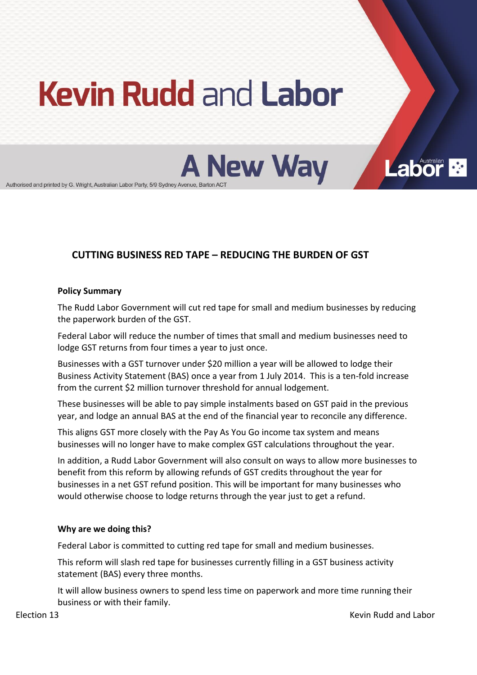# **Kevin Rudd and Labor**

**A New Way** 

Authorised and printed by G. Wright, Australian Labor Party, 5/9 Sydney Avenue, Barton ACT

# **CUTTING!BUSINESS!RED!TAPE!ʹ REDUCING!THE!BURDEN!OF!GST**

# **Policy Summary**

The Rudd Labor Government will cut red tape for small and medium businesses by reducing the paperwork burden of the GST.

Federal Labor will reduce the number of times that small and medium businesses need to lodge GST returns from four times a vear to just once.

Businesses with a GST turnover under \$20 million a year will be allowed to lodge their Business Activity Statement (BAS) once a year from 1 July 2014. This is a ten-fold increase from the current \$2 million turnover threshold for annual lodgement.

These businesses will be able to pay simple instalments based on GST paid in the previous year, and lodge an annual BAS at the end of the financial year to reconcile any difference.

This aligns GST more closely with the Pay As You Go income tax system and means businesses will no longer have to make complex GST calculations throughout the year.

In addition, a Rudd Labor Government will also consult on ways to allow more businesses to benefit from this reform by allowing refunds of GST credits throughout the year for businesses in a net GST refund position. This will be important for many businesses who would otherwise choose to lodge returns through the year just to get a refund.

#### Why are we doing this?

Federal Labor is committed to cutting red tape for small and medium businesses.

This reform will slash red tape for businesses currently filling in a GST business activity statement (BAS) every three months.

It will allow business owners to spend less time on paperwork and more time running their business or with their family.

**Labor**